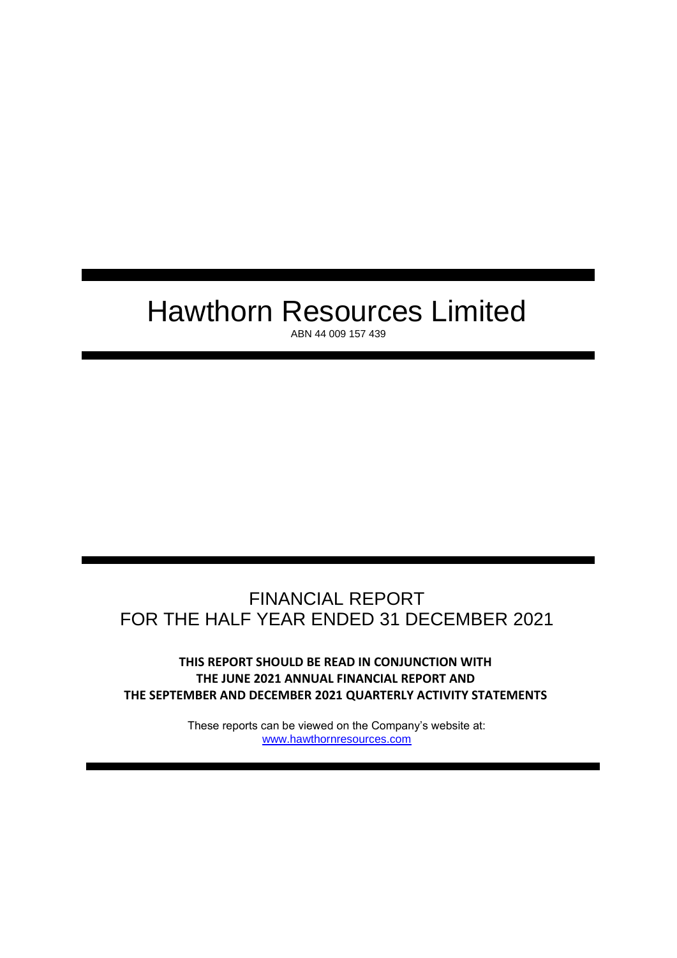# Hawthorn Resources Limited

ABN 44 009 157 439

# FINANCIAL REPORT FOR THE HALF YEAR ENDED 31 DECEMBER 2021

**THIS REPORT SHOULD BE READ IN CONJUNCTION WITH THE JUNE 2021 ANNUAL FINANCIAL REPORT AND THE SEPTEMBER AND DECEMBER 2021 QUARTERLY ACTIVITY STATEMENTS**

> These reports can be viewed on the Company's website at: [www.hawthornresources.com](http://www.hawthornresources.com/)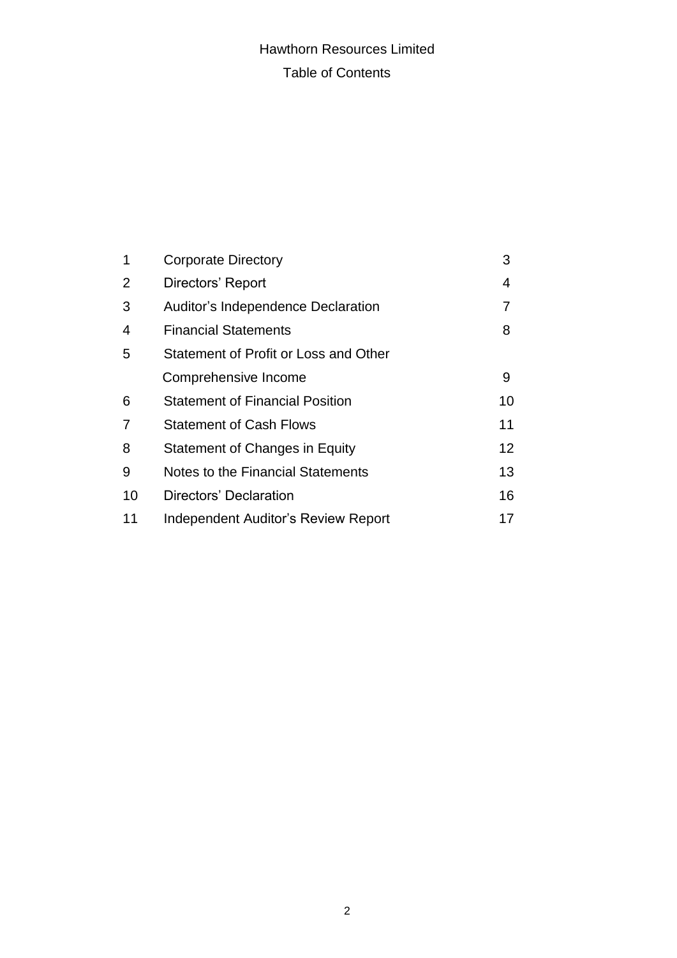# Hawthorn Resources Limited Table of Contents

| 1              | <b>Corporate Directory</b>             | 3  |
|----------------|----------------------------------------|----|
| $\overline{2}$ | Directors' Report                      | 4  |
| 3              | Auditor's Independence Declaration     | 7  |
| 4              | <b>Financial Statements</b>            | 8  |
| 5              | Statement of Profit or Loss and Other  |    |
|                | Comprehensive Income                   | 9  |
| 6              | <b>Statement of Financial Position</b> | 10 |
| $\overline{7}$ | <b>Statement of Cash Flows</b>         | 11 |
| 8              | Statement of Changes in Equity         | 12 |
| 9              | Notes to the Financial Statements      | 13 |
| 10             | Directors' Declaration                 | 16 |
| 11             | Independent Auditor's Review Report    | 17 |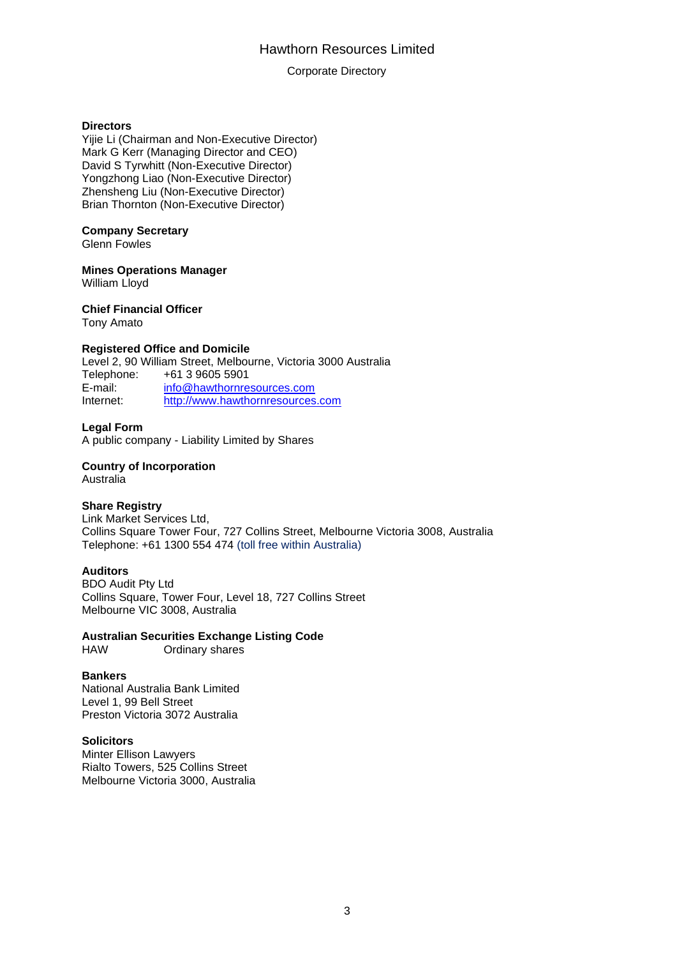# Hawthorn Resources Limited

### Corporate Directory

### **Directors**

Yijie Li (Chairman and Non-Executive Director) Mark G Kerr (Managing Director and CEO) David S Tyrwhitt (Non-Executive Director) Yongzhong Liao (Non-Executive Director) Zhensheng Liu (Non-Executive Director) Brian Thornton (Non-Executive Director)

### **Company Secretary**

Glenn Fowles

### **Mines Operations Manager**

William Lloyd

### **Chief Financial Officer**

Tony Amato

## **Registered Office and Domicile**

Level 2, 90 William Street, Melbourne, Victoria 3000 Australia Telephone: +61 3 9605 5901 E-mail: [info@hawthornresources.com](mailto:info@hawthornresources.com) Internet: [http://www.hawthornresources.com](http://www.hawthornresources.com/)

### **Legal Form**

A public company - Liability Limited by Shares

# **Country of Incorporation**

Australia

## **Share Registry**

Link Market Services Ltd, Collins Square Tower Four, 727 Collins Street, Melbourne Victoria 3008, Australia Telephone: +61 1300 554 474 (toll free within Australia)

### **Auditors**

BDO Audit Pty Ltd Collins Square, Tower Four, Level 18, 727 Collins Street Melbourne VIC 3008, Australia

# **Australian Securities Exchange Listing Code**

HAW Ordinary shares

### **Bankers**

National Australia Bank Limited Level 1, 99 Bell Street Preston Victoria 3072 Australia

### **Solicitors**

Minter Ellison Lawyers Rialto Towers, 525 Collins Street Melbourne Victoria 3000, Australia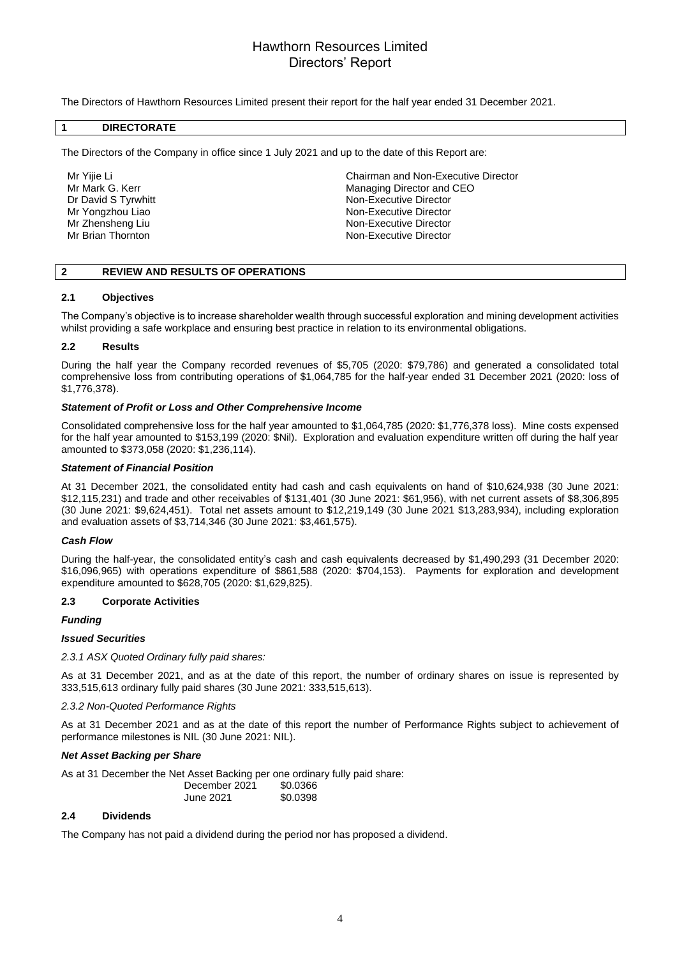# Hawthorn Resources Limited Directors' Report

The Directors of Hawthorn Resources Limited present their report for the half year ended 31 December 2021.

### **1 DIRECTORATE**

The Directors of the Company in office since 1 July 2021 and up to the date of this Report are:

Mr Yijie Li Chairman and Non-Executive Director Mr Mark G. Kerr Managing Director and CEO<br>
Dr David S Tyrwhitt Managing Director and CEO Dr David S Tyrwhitt<br>
Mon-Executive Director<br>
Mon-Executive Director<br>
Non-Executive Director Non-Executive Director Mr Zhensheng Liu Non-Executive Director Mr Brian Thornton Non-Executive Director

### **2 REVIEW AND RESULTS OF OPERATIONS**

### **2.1 Objectives**

The Company's objective is to increase shareholder wealth through successful exploration and mining development activities whilst providing a safe workplace and ensuring best practice in relation to its environmental obligations.

### **2.2 Results**

During the half year the Company recorded revenues of \$5,705 (2020: \$79,786) and generated a consolidated total comprehensive loss from contributing operations of \$1,064,785 for the half-year ended 31 December 2021 (2020: loss of \$1,776,378).

### *Statement of Profit or Loss and Other Comprehensive Income*

Consolidated comprehensive loss for the half year amounted to \$1,064,785 (2020: \$1,776,378 loss). Mine costs expensed for the half year amounted to \$153,199 (2020: \$Nil). Exploration and evaluation expenditure written off during the half year amounted to \$373,058 (2020: \$1,236,114).

#### *Statement of Financial Position*

At 31 December 2021, the consolidated entity had cash and cash equivalents on hand of \$10,624,938 (30 June 2021: \$12,115,231) and trade and other receivables of \$131,401 (30 June 2021: \$61,956), with net current assets of \$8,306,895 (30 June 2021: \$9,624,451). Total net assets amount to \$12,219,149 (30 June 2021 \$13,283,934), including exploration and evaluation assets of \$3,714,346 (30 June 2021: \$3,461,575).

### *Cash Flow*

During the half-year, the consolidated entity's cash and cash equivalents decreased by \$1,490,293 (31 December 2020: \$16,096,965) with operations expenditure of \$861,588 (2020: \$704,153). Payments for exploration and development expenditure amounted to \$628,705 (2020: \$1,629,825).

### **2.3 Corporate Activities**

### *Funding*

#### *Issued Securities*

*2.3.1 ASX Quoted Ordinary fully paid shares:*

As at 31 December 2021, and as at the date of this report, the number of ordinary shares on issue is represented by 333,515,613 ordinary fully paid shares (30 June 2021: 333,515,613).

### *2.3.2 Non-Quoted Performance Rights*

As at 31 December 2021 and as at the date of this report the number of Performance Rights subject to achievement of performance milestones is NIL (30 June 2021: NIL).

### *Net Asset Backing per Share*

As at 31 December the Net Asset Backing per one ordinary fully paid share:

| December 2021 | \$0.0366 |  |
|---------------|----------|--|
| June 2021     | \$0.0398 |  |

### **2.4 Dividends**

The Company has not paid a dividend during the period nor has proposed a dividend.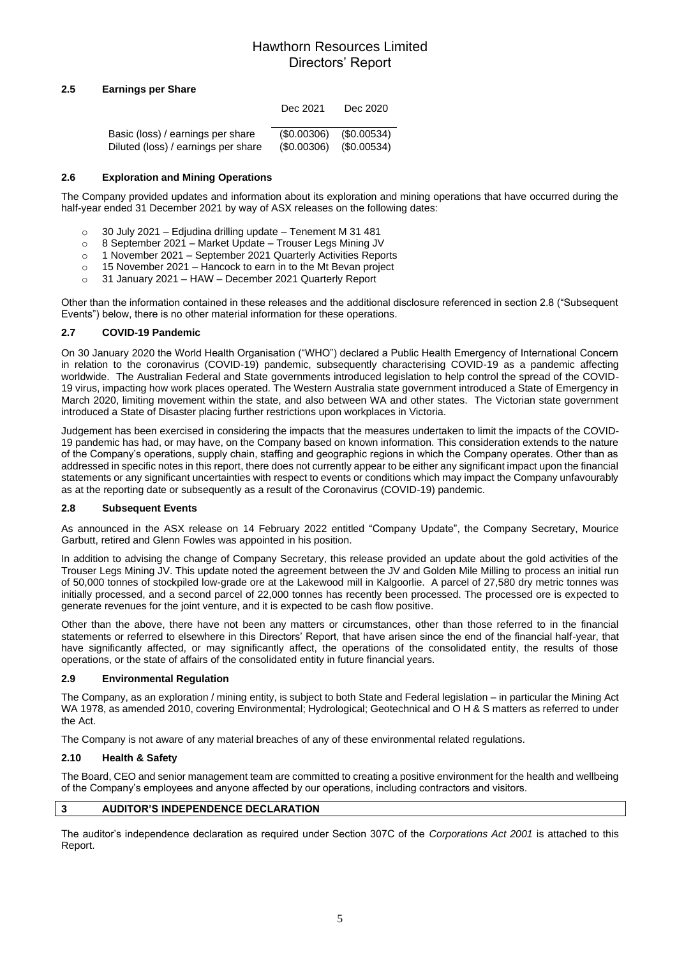# Hawthorn Resources Limited Directors' Report

### **2.5 Earnings per Share**

|                                     | Dec 2021   | Dec 2020      |
|-------------------------------------|------------|---------------|
| Basic (loss) / earnings per share   | (S0.00306) | (S0.00534)    |
| Diluted (loss) / earnings per share | (S0.00306) | $(\$0.00534)$ |

### **2.6 Exploration and Mining Operations**

The Company provided updates and information about its exploration and mining operations that have occurred during the half-year ended 31 December 2021 by way of ASX releases on the following dates:

- o 30 July 2021 Edjudina drilling update Tenement M 31 481
- o 8 September 2021 Market Update Trouser Legs Mining JV
- o 1 November 2021 September 2021 Quarterly Activities Reports
- o 15 November 2021 Hancock to earn in to the Mt Bevan project
- o 31 January 2021 HAW December 2021 Quarterly Report

Other than the information contained in these releases and the additional disclosure referenced in section 2.8 ("Subsequent Events") below, there is no other material information for these operations.

### **2.7 COVID-19 Pandemic**

On 30 January 2020 the World Health Organisation ("WHO") declared a Public Health Emergency of International Concern in relation to the coronavirus (COVID-19) pandemic, subsequently characterising COVID-19 as a pandemic affecting worldwide. The Australian Federal and State governments introduced legislation to help control the spread of the COVID-19 virus, impacting how work places operated. The Western Australia state government introduced a State of Emergency in March 2020, limiting movement within the state, and also between WA and other states. The Victorian state government introduced a State of Disaster placing further restrictions upon workplaces in Victoria.

Judgement has been exercised in considering the impacts that the measures undertaken to limit the impacts of the COVID-19 pandemic has had, or may have, on the Company based on known information. This consideration extends to the nature of the Company's operations, supply chain, staffing and geographic regions in which the Company operates. Other than as addressed in specific notes in this report, there does not currently appear to be either any significant impact upon the financial statements or any significant uncertainties with respect to events or conditions which may impact the Company unfavourably as at the reporting date or subsequently as a result of the Coronavirus (COVID-19) pandemic.

### **2.8 Subsequent Events**

As announced in the ASX release on 14 February 2022 entitled "Company Update", the Company Secretary, Mourice Garbutt, retired and Glenn Fowles was appointed in his position.

In addition to advising the change of Company Secretary, this release provided an update about the gold activities of the Trouser Legs Mining JV. This update noted the agreement between the JV and Golden Mile Milling to process an initial run of 50,000 tonnes of stockpiled low-grade ore at the Lakewood mill in Kalgoorlie. A parcel of 27,580 dry metric tonnes was initially processed, and a second parcel of 22,000 tonnes has recently been processed. The processed ore is expected to generate revenues for the joint venture, and it is expected to be cash flow positive.

Other than the above, there have not been any matters or circumstances, other than those referred to in the financial statements or referred to elsewhere in this Directors' Report, that have arisen since the end of the financial half-year, that have significantly affected, or may significantly affect, the operations of the consolidated entity, the results of those operations, or the state of affairs of the consolidated entity in future financial years.

### **2.9 Environmental Regulation**

The Company, as an exploration / mining entity, is subject to both State and Federal legislation – in particular the Mining Act WA 1978, as amended 2010, covering Environmental; Hydrological; Geotechnical and O H & S matters as referred to under the Act.

The Company is not aware of any material breaches of any of these environmental related regulations.

### **2.10 Health & Safety**

The Board, CEO and senior management team are committed to creating a positive environment for the health and wellbeing of the Company's employees and anyone affected by our operations, including contractors and visitors.

### **3 AUDITOR'S INDEPENDENCE DECLARATION**

The auditor's independence declaration as required under Section 307C of the *Corporations Act 2001* is attached to this Report.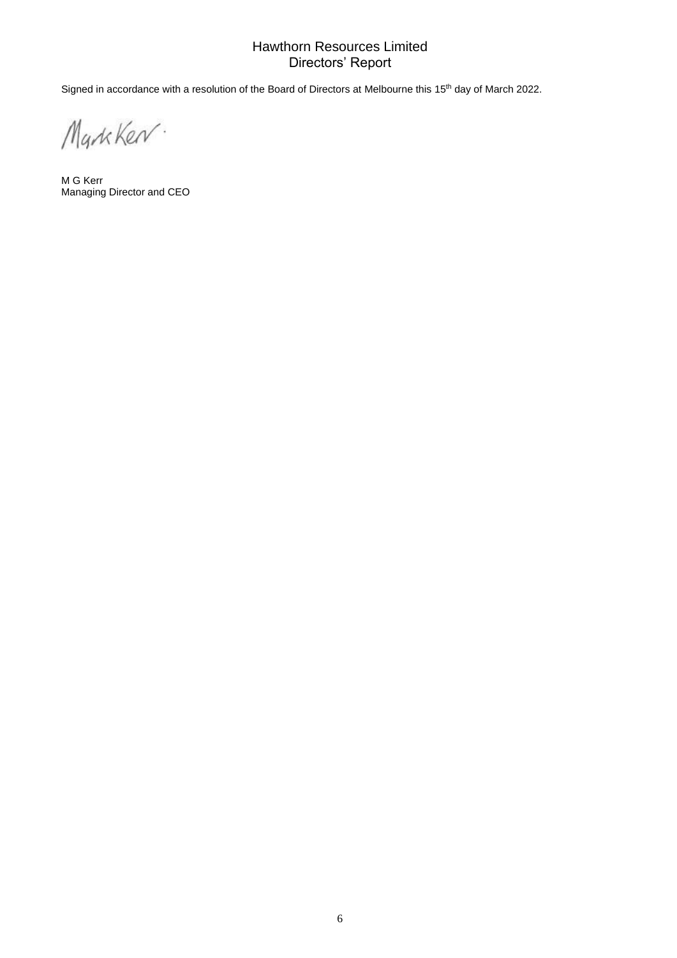# Hawthorn Resources Limited Directors' Report

Signed in accordance with a resolution of the Board of Directors at Melbourne this 15<sup>th</sup> day of March 2022.

MarkKer.

M G Kerr Managing Director and CEO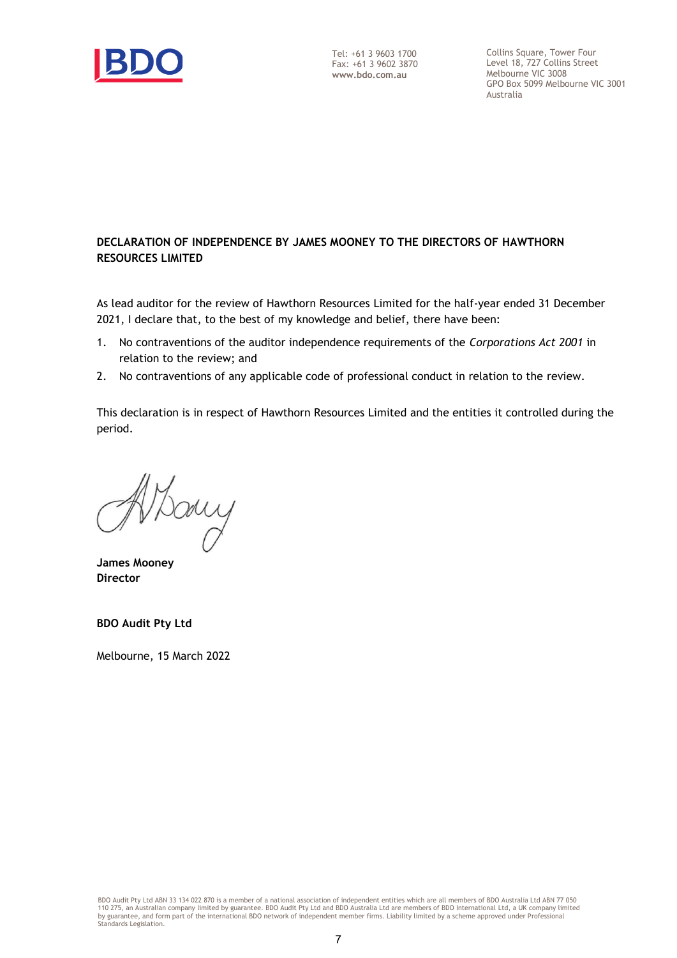

Collins Square, Tower Four Level 18, 727 Collins Street Melbourne VIC 3008 GPO Box 5099 Melbourne VIC 3001 Australia

# **DECLARATION OF INDEPENDENCE BY JAMES MOONEY TO THE DIRECTORS OF HAWTHORN RESOURCES LIMITED**

As lead auditor for the review of Hawthorn Resources Limited for the half-year ended 31 December 2021, I declare that, to the best of my knowledge and belief, there have been:

- 1. No contraventions of the auditor independence requirements of the *Corporations Act 2001* in relation to the review; and
- 2. No contraventions of any applicable code of professional conduct in relation to the review.

This declaration is in respect of Hawthorn Resources Limited and the entities it controlled during the period.

ary

**James Mooney Director**

**BDO Audit Pty Ltd**

Melbourne, 15 March 2022

BDO Audit Pty Ltd ABN 33 134 022 870 is a member of a national association of independent entities which are all members of BDO Australia Ltd ABN 77 050<br>110 275, an Australian company limited by guarantee. BDO Audit Pty Lt by guarantee, and form part of the international BDO network of independent member firms. Liability limited by a scheme approved under Professional Standards Legislation.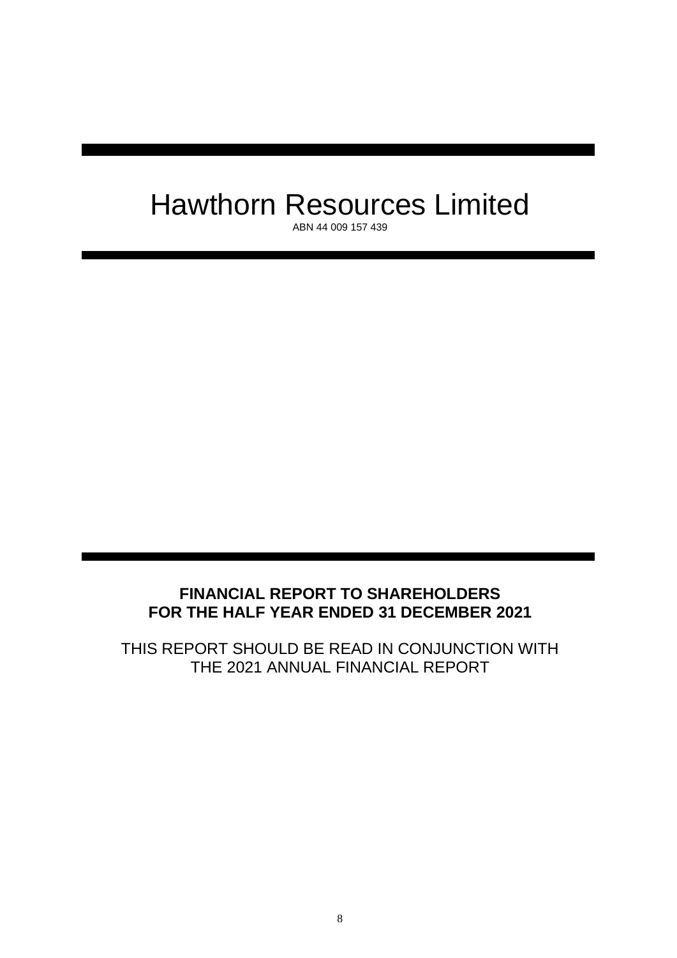# Hawthorn Resources Limited

ABN 44 009 157 439

# **FINANCIAL REPORT TO SHAREHOLDERS FOR THE HALF YEAR ENDED 31 DECEMBER 2021**

THIS REPORT SHOULD BE READ IN CONJUNCTION WITH THE 2021 ANNUAL FINANCIAL REPORT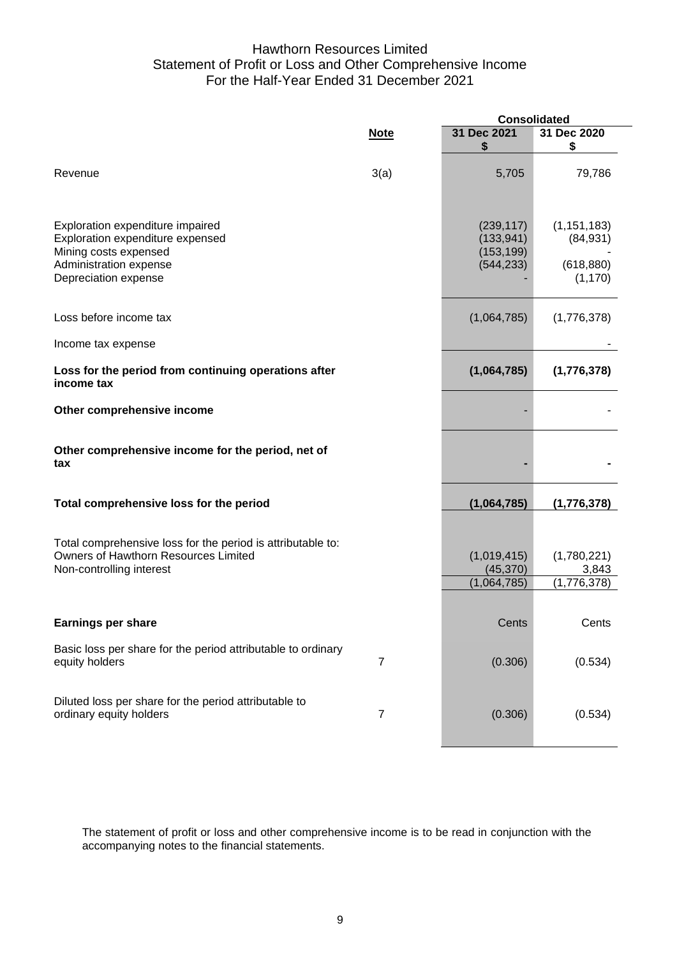# Hawthorn Resources Limited Statement of Profit or Loss and Other Comprehensive Income For the Half-Year Ended 31 December 2021

|                                                                                                                                                 |                | <b>Consolidated</b>                                  |                                                      |
|-------------------------------------------------------------------------------------------------------------------------------------------------|----------------|------------------------------------------------------|------------------------------------------------------|
|                                                                                                                                                 | <b>Note</b>    | 31 Dec 2021<br>\$                                    | 31 Dec 2020<br>\$                                    |
| Revenue                                                                                                                                         | 3(a)           | 5,705                                                | 79,786                                               |
| Exploration expenditure impaired<br>Exploration expenditure expensed<br>Mining costs expensed<br>Administration expense<br>Depreciation expense |                | (239, 117)<br>(133, 941)<br>(153, 199)<br>(544, 233) | (1, 151, 183)<br>(84, 931)<br>(618, 880)<br>(1, 170) |
| Loss before income tax                                                                                                                          |                | (1,064,785)                                          | (1,776,378)                                          |
| Income tax expense                                                                                                                              |                |                                                      |                                                      |
| Loss for the period from continuing operations after<br>income tax                                                                              |                | (1,064,785)                                          | (1,776,378)                                          |
| Other comprehensive income                                                                                                                      |                |                                                      |                                                      |
| Other comprehensive income for the period, net of<br>tax                                                                                        |                |                                                      |                                                      |
| Total comprehensive loss for the period                                                                                                         |                | (1,064,785)                                          | (1,776,378)                                          |
| Total comprehensive loss for the period is attributable to:<br>Owners of Hawthorn Resources Limited<br>Non-controlling interest                 |                | (1,019,415)<br>(45, 370)<br>(1,064,785)              | (1,780,221)<br>3,843<br>(1,776,378)                  |
| <b>Earnings per share</b>                                                                                                                       |                | Cents                                                | Cents                                                |
| Basic loss per share for the period attributable to ordinary<br>equity holders                                                                  | 7              | (0.306)                                              | (0.534)                                              |
| Diluted loss per share for the period attributable to<br>ordinary equity holders                                                                | $\overline{7}$ | (0.306)                                              | (0.534)                                              |

The statement of profit or loss and other comprehensive income is to be read in conjunction with the accompanying notes to the financial statements.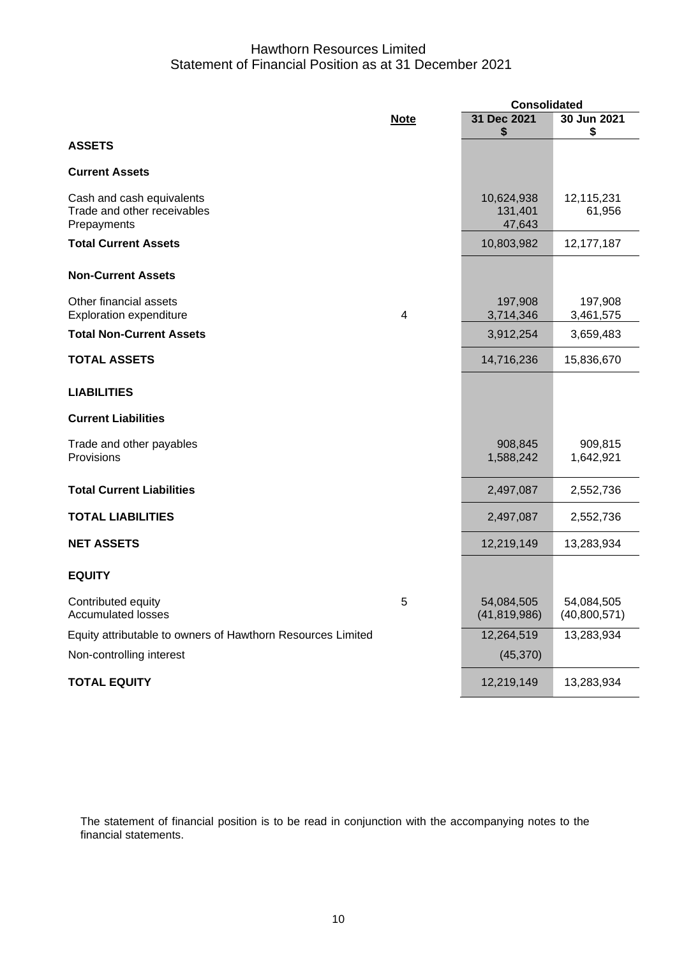# Hawthorn Resources Limited Statement of Financial Position as at 31 December 2021

|                                                                         |             | <b>Consolidated</b>             |                            |  |  |
|-------------------------------------------------------------------------|-------------|---------------------------------|----------------------------|--|--|
|                                                                         | <b>Note</b> | 31 Dec 2021                     | 30 Jun 2021                |  |  |
| <b>ASSETS</b>                                                           |             | \$                              | \$                         |  |  |
| <b>Current Assets</b>                                                   |             |                                 |                            |  |  |
| Cash and cash equivalents<br>Trade and other receivables<br>Prepayments |             | 10,624,938<br>131,401<br>47,643 | 12,115,231<br>61,956       |  |  |
| <b>Total Current Assets</b>                                             |             | 10,803,982                      | 12,177,187                 |  |  |
| <b>Non-Current Assets</b>                                               |             |                                 |                            |  |  |
| Other financial assets<br><b>Exploration expenditure</b>                | 4           | 197,908<br>3,714,346            | 197,908<br>3,461,575       |  |  |
| <b>Total Non-Current Assets</b>                                         |             | 3,912,254                       | 3,659,483                  |  |  |
| <b>TOTAL ASSETS</b>                                                     |             | 14,716,236                      | 15,836,670                 |  |  |
| <b>LIABILITIES</b>                                                      |             |                                 |                            |  |  |
| <b>Current Liabilities</b>                                              |             |                                 |                            |  |  |
| Trade and other payables<br>Provisions                                  |             | 908,845<br>1,588,242            | 909,815<br>1,642,921       |  |  |
| <b>Total Current Liabilities</b>                                        |             | 2,497,087                       | 2,552,736                  |  |  |
| <b>TOTAL LIABILITIES</b>                                                |             | 2,497,087                       | 2,552,736                  |  |  |
| <b>NET ASSETS</b>                                                       |             | 12,219,149                      | 13,283,934                 |  |  |
| <b>EQUITY</b>                                                           |             |                                 |                            |  |  |
| Contributed equity<br><b>Accumulated losses</b>                         | 5           | 54,084,505<br>(41, 819, 986)    | 54,084,505<br>(40,800,571) |  |  |
| Equity attributable to owners of Hawthorn Resources Limited             |             | 12,264,519                      | 13,283,934                 |  |  |
| Non-controlling interest                                                |             | (45, 370)                       |                            |  |  |
| <b>TOTAL EQUITY</b>                                                     |             | 12,219,149                      | 13,283,934                 |  |  |

The statement of financial position is to be read in conjunction with the accompanying notes to the financial statements.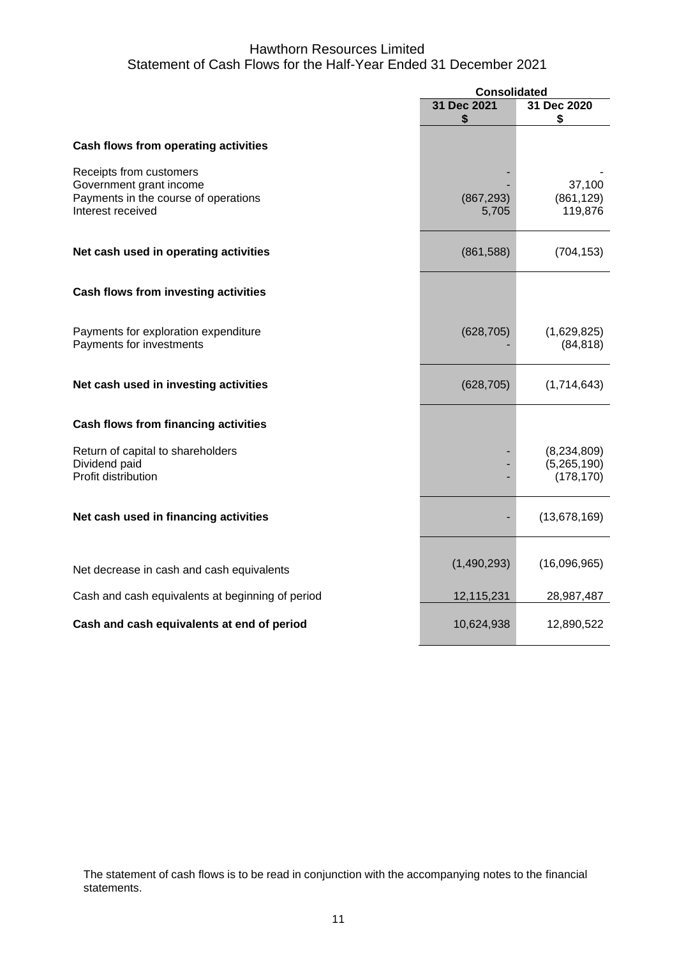# Hawthorn Resources Limited Statement of Cash Flows for the Half-Year Ended 31 December 2021

|                                                                                                                 | <b>Consolidated</b> |                                            |
|-----------------------------------------------------------------------------------------------------------------|---------------------|--------------------------------------------|
|                                                                                                                 | 31 Dec 2021         | 31 Dec 2020                                |
|                                                                                                                 | \$                  | \$                                         |
| <b>Cash flows from operating activities</b>                                                                     |                     |                                            |
| Receipts from customers<br>Government grant income<br>Payments in the course of operations<br>Interest received | (867, 293)<br>5,705 | 37,100<br>(861, 129)<br>119,876            |
| Net cash used in operating activities                                                                           | (861, 588)          | (704, 153)                                 |
| <b>Cash flows from investing activities</b>                                                                     |                     |                                            |
| Payments for exploration expenditure<br>Payments for investments                                                | (628, 705)          | (1,629,825)<br>(84, 818)                   |
| Net cash used in investing activities                                                                           | (628, 705)          | (1,714,643)                                |
| <b>Cash flows from financing activities</b>                                                                     |                     |                                            |
| Return of capital to shareholders<br>Dividend paid<br>Profit distribution                                       |                     | (8, 234, 809)<br>(5,265,190)<br>(178, 170) |
| Net cash used in financing activities                                                                           |                     | (13,678,169)                               |
| Net decrease in cash and cash equivalents                                                                       | (1,490,293)         | (16,096,965)                               |
| Cash and cash equivalents at beginning of period                                                                | 12,115,231          | 28,987,487                                 |
| Cash and cash equivalents at end of period                                                                      | 10,624,938          | 12,890,522                                 |

The statement of cash flows is to be read in conjunction with the accompanying notes to the financial statements.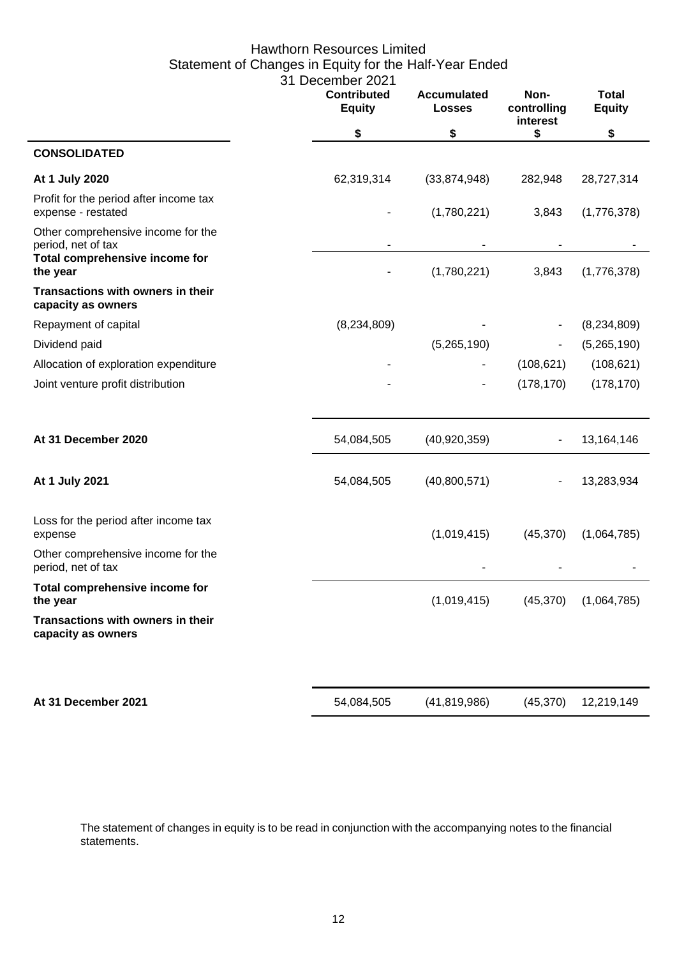# Hawthorn Resources Limited Statement of Changes in Equity for the Half-Year Ended 31 December 2021

|                                                              | <b>Contributed</b><br><b>Equity</b> | <b>Accumulated</b><br><b>Losses</b> | Non-<br>controlling<br>interest | <b>Total</b><br><b>Equity</b> |
|--------------------------------------------------------------|-------------------------------------|-------------------------------------|---------------------------------|-------------------------------|
|                                                              | \$                                  | \$                                  | \$                              | \$                            |
| <b>CONSOLIDATED</b>                                          |                                     |                                     |                                 |                               |
| At 1 July 2020                                               | 62,319,314                          | (33,874,948)                        | 282,948                         | 28,727,314                    |
| Profit for the period after income tax<br>expense - restated |                                     | (1,780,221)                         | 3,843                           | (1,776,378)                   |
| Other comprehensive income for the<br>period, net of tax     | $\overline{\phantom{a}}$            |                                     |                                 |                               |
| Total comprehensive income for<br>the year                   |                                     | (1,780,221)                         | 3,843                           | (1,776,378)                   |
| Transactions with owners in their<br>capacity as owners      |                                     |                                     |                                 |                               |
| Repayment of capital                                         | (8,234,809)                         |                                     |                                 | (8, 234, 809)                 |
| Dividend paid                                                |                                     | (5,265,190)                         |                                 | (5,265,190)                   |
| Allocation of exploration expenditure                        |                                     |                                     | (108, 621)                      | (108, 621)                    |
| Joint venture profit distribution                            |                                     |                                     | (178, 170)                      | (178, 170)                    |
|                                                              |                                     |                                     |                                 |                               |
| At 31 December 2020                                          | 54,084,505                          | (40, 920, 359)                      |                                 | 13,164,146                    |
| At 1 July 2021                                               | 54,084,505                          | (40,800,571)                        |                                 | 13,283,934                    |
| Loss for the period after income tax<br>expense              |                                     | (1,019,415)                         | (45, 370)                       | (1,064,785)                   |
| Other comprehensive income for the<br>period, net of tax     |                                     |                                     |                                 |                               |
| Total comprehensive income for<br>the year                   |                                     | (1,019,415)                         | (45, 370)                       | (1,064,785)                   |
| Transactions with owners in their<br>capacity as owners      |                                     |                                     |                                 |                               |
| At 31 December 2021                                          | 54,084,505                          | (41, 819, 986)                      | (45, 370)                       | 12,219,149                    |
|                                                              |                                     |                                     |                                 |                               |

The statement of changes in equity is to be read in conjunction with the accompanying notes to the financial statements.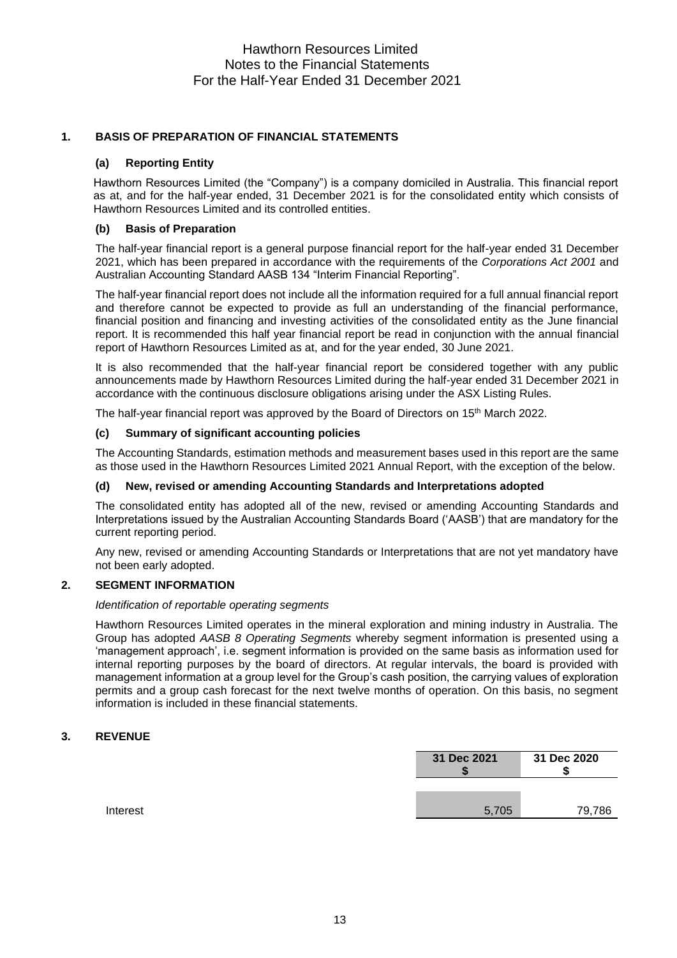# **1. BASIS OF PREPARATION OF FINANCIAL STATEMENTS**

### **(a) Reporting Entity**

Hawthorn Resources Limited (the "Company") is a company domiciled in Australia. This financial report as at, and for the half-year ended, 31 December 2021 is for the consolidated entity which consists of Hawthorn Resources Limited and its controlled entities.

### **(b) Basis of Preparation**

The half-year financial report is a general purpose financial report for the half-year ended 31 December 2021, which has been prepared in accordance with the requirements of the *Corporations Act 2001* and Australian Accounting Standard AASB 134 "Interim Financial Reporting".

The half-year financial report does not include all the information required for a full annual financial report and therefore cannot be expected to provide as full an understanding of the financial performance, financial position and financing and investing activities of the consolidated entity as the June financial report. It is recommended this half year financial report be read in conjunction with the annual financial report of Hawthorn Resources Limited as at, and for the year ended, 30 June 2021.

It is also recommended that the half-year financial report be considered together with any public announcements made by Hawthorn Resources Limited during the half-year ended 31 December 2021 in accordance with the continuous disclosure obligations arising under the ASX Listing Rules.

The half-year financial report was approved by the Board of Directors on 15<sup>th</sup> March 2022.

### **(c) Summary of significant accounting policies**

The Accounting Standards, estimation methods and measurement bases used in this report are the same as those used in the Hawthorn Resources Limited 2021 Annual Report, with the exception of the below.

### **(d) New, revised or amending Accounting Standards and Interpretations adopted**

The consolidated entity has adopted all of the new, revised or amending Accounting Standards and Interpretations issued by the Australian Accounting Standards Board ('AASB') that are mandatory for the current reporting period.

Any new, revised or amending Accounting Standards or Interpretations that are not yet mandatory have not been early adopted.

## **2. SEGMENT INFORMATION**

### *Identification of reportable operating segments*

Hawthorn Resources Limited operates in the mineral exploration and mining industry in Australia. The Group has adopted *AASB 8 Operating Segments* whereby segment information is presented using a 'management approach', i.e. segment information is provided on the same basis as information used for internal reporting purposes by the board of directors. At regular intervals, the board is provided with management information at a group level for the Group's cash position, the carrying values of exploration permits and a group cash forecast for the next twelve months of operation. On this basis, no segment information is included in these financial statements.

## **3. REVENUE**

| 79.786 | 5.705 |  |
|--------|-------|--|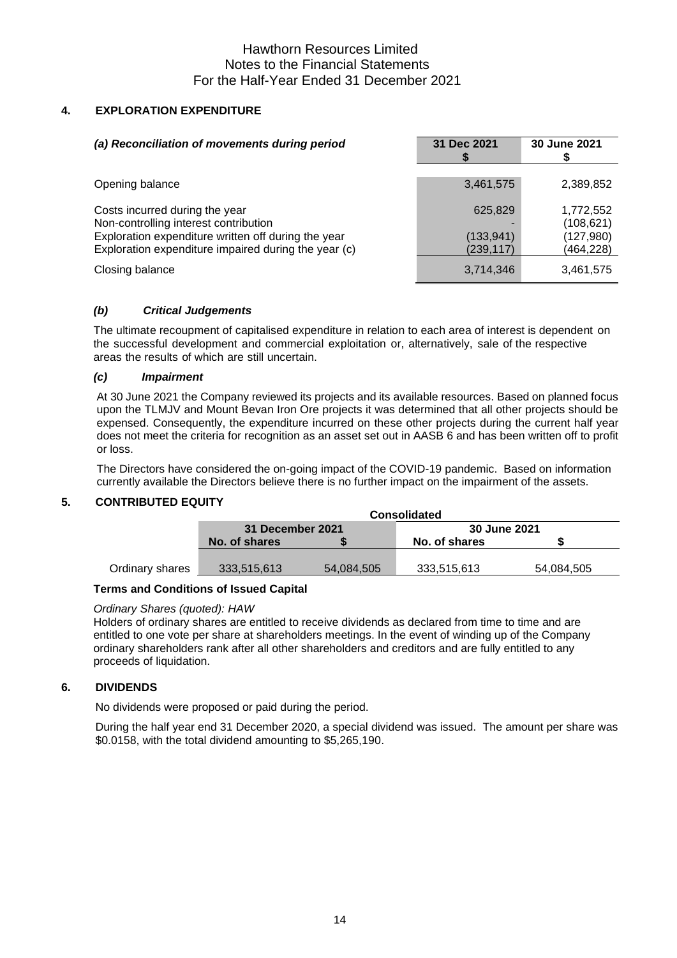# Hawthorn Resources Limited Notes to the Financial Statements For the Half-Year Ended 31 December 2021

# **4. EXPLORATION EXPENDITURE**

| (a) Reconciliation of movements during period                                                                                                                                          | 31 Dec 2021                         | 30 June 2021                                      |
|----------------------------------------------------------------------------------------------------------------------------------------------------------------------------------------|-------------------------------------|---------------------------------------------------|
| Opening balance                                                                                                                                                                        | 3,461,575                           | 2,389,852                                         |
| Costs incurred during the year<br>Non-controlling interest contribution<br>Exploration expenditure written off during the year<br>Exploration expenditure impaired during the year (c) | 625,829<br>(133, 941)<br>(239, 117) | 1,772,552<br>(108, 621)<br>(127,980)<br>(464,228) |
| Closing balance                                                                                                                                                                        | 3,714,346                           | 3,461,575                                         |

# *(b) Critical Judgements*

The ultimate recoupment of capitalised expenditure in relation to each area of interest is dependent on the successful development and commercial exploitation or, alternatively, sale of the respective areas the results of which are still uncertain.

## *(c) Impairment*

At 30 June 2021 the Company reviewed its projects and its available resources. Based on planned focus upon the TLMJV and Mount Bevan Iron Ore projects it was determined that all other projects should be expensed. Consequently, the expenditure incurred on these other projects during the current half year does not meet the criteria for recognition as an asset set out in AASB 6 and has been written off to profit or loss.

The Directors have considered the on-going impact of the COVID-19 pandemic. Based on information currently available the Directors believe there is no further impact on the impairment of the assets.

## **5. CONTRIBUTED EQUITY**

|                 | <b>Consolidated</b>     |            |                     |            |  |
|-----------------|-------------------------|------------|---------------------|------------|--|
|                 | <b>31 December 2021</b> |            | <b>30 June 2021</b> |            |  |
|                 | No. of shares           |            | No. of shares       |            |  |
|                 |                         |            |                     |            |  |
| Ordinary shares | 333,515,613             | 54.084.505 | 333,515,613         | 54.084.505 |  |

## **Terms and Conditions of Issued Capital**

### *Ordinary Shares (quoted): HAW*

Holders of ordinary shares are entitled to receive dividends as declared from time to time and are entitled to one vote per share at shareholders meetings. In the event of winding up of the Company ordinary shareholders rank after all other shareholders and creditors and are fully entitled to any proceeds of liquidation.

## **6. DIVIDENDS**

No dividends were proposed or paid during the period.

During the half year end 31 December 2020, a special dividend was issued. The amount per share was \$0.0158, with the total dividend amounting to \$5,265,190.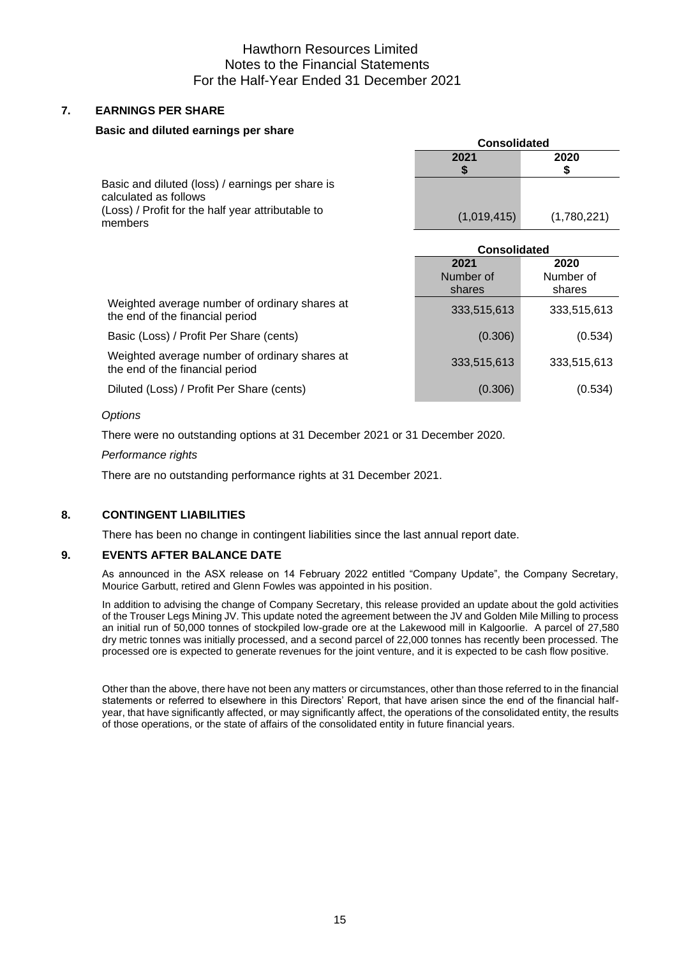# Hawthorn Resources Limited Notes to the Financial Statements For the Half-Year Ended 31 December 2021

# **7. EARNINGS PER SHARE**

### **Basic and diluted earnings per share**

|                                                                                                                                           | <b>Consolidated</b> |             |
|-------------------------------------------------------------------------------------------------------------------------------------------|---------------------|-------------|
|                                                                                                                                           | 2021                | 2020        |
| Basic and diluted (loss) / earnings per share is<br>calculated as follows<br>(Loss) / Profit for the half year attributable to<br>members | (1,019,415)         | (1,780,221) |

|                                                                                  | <b>Consolidated</b>         |                             |
|----------------------------------------------------------------------------------|-----------------------------|-----------------------------|
|                                                                                  | 2021<br>Number of<br>shares | 2020<br>Number of<br>shares |
| Weighted average number of ordinary shares at<br>the end of the financial period | 333,515,613                 | 333,515,613                 |
| Basic (Loss) / Profit Per Share (cents)                                          | (0.306)                     | (0.534)                     |
| Weighted average number of ordinary shares at<br>the end of the financial period | 333,515,613                 | 333,515,613                 |
| Diluted (Loss) / Profit Per Share (cents)                                        | (0.306)                     | (0.534)                     |

### *Options*

There were no outstanding options at 31 December 2021 or 31 December 2020.

### *Performance rights*

There are no outstanding performance rights at 31 December 2021.

# **8. CONTINGENT LIABILITIES**

There has been no change in contingent liabilities since the last annual report date.

## **9. EVENTS AFTER BALANCE DATE**

As announced in the ASX release on 14 February 2022 entitled "Company Update", the Company Secretary, Mourice Garbutt, retired and Glenn Fowles was appointed in his position.

In addition to advising the change of Company Secretary, this release provided an update about the gold activities of the Trouser Legs Mining JV. This update noted the agreement between the JV and Golden Mile Milling to process an initial run of 50,000 tonnes of stockpiled low-grade ore at the Lakewood mill in Kalgoorlie. A parcel of 27,580 dry metric tonnes was initially processed, and a second parcel of 22,000 tonnes has recently been processed. The processed ore is expected to generate revenues for the joint venture, and it is expected to be cash flow positive.

Other than the above, there have not been any matters or circumstances, other than those referred to in the financial statements or referred to elsewhere in this Directors' Report, that have arisen since the end of the financial halfyear, that have significantly affected, or may significantly affect, the operations of the consolidated entity, the results of those operations, or the state of affairs of the consolidated entity in future financial years.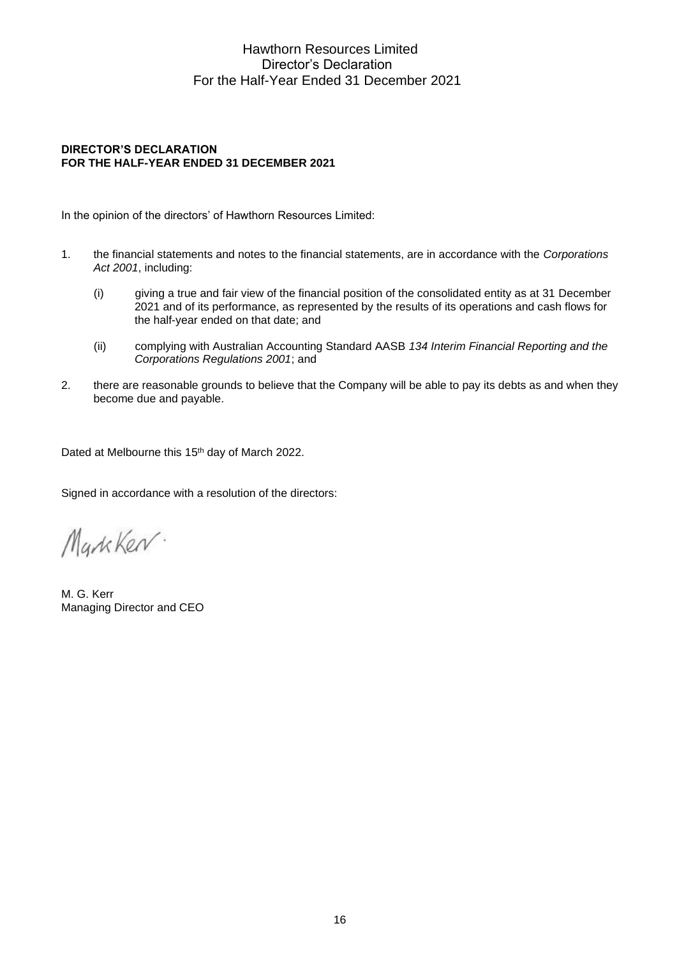# Hawthorn Resources Limited Director's Declaration For the Half-Year Ended 31 December 2021

# **DIRECTOR'S DECLARATION FOR THE HALF-YEAR ENDED 31 DECEMBER 2021**

In the opinion of the directors' of Hawthorn Resources Limited:

- 1. the financial statements and notes to the financial statements, are in accordance with the *Corporations Act 2001*, including:
	- (i) giving a true and fair view of the financial position of the consolidated entity as at 31 December 2021 and of its performance, as represented by the results of its operations and cash flows for the half-year ended on that date; and
	- (ii) complying with Australian Accounting Standard AASB *134 Interim Financial Reporting and the Corporations Regulations 2001*; and
- 2. there are reasonable grounds to believe that the Company will be able to pay its debts as and when they become due and payable.

Dated at Melbourne this 15<sup>th</sup> day of March 2022.

Signed in accordance with a resolution of the directors:

MarkKer.

M. G. Kerr Managing Director and CEO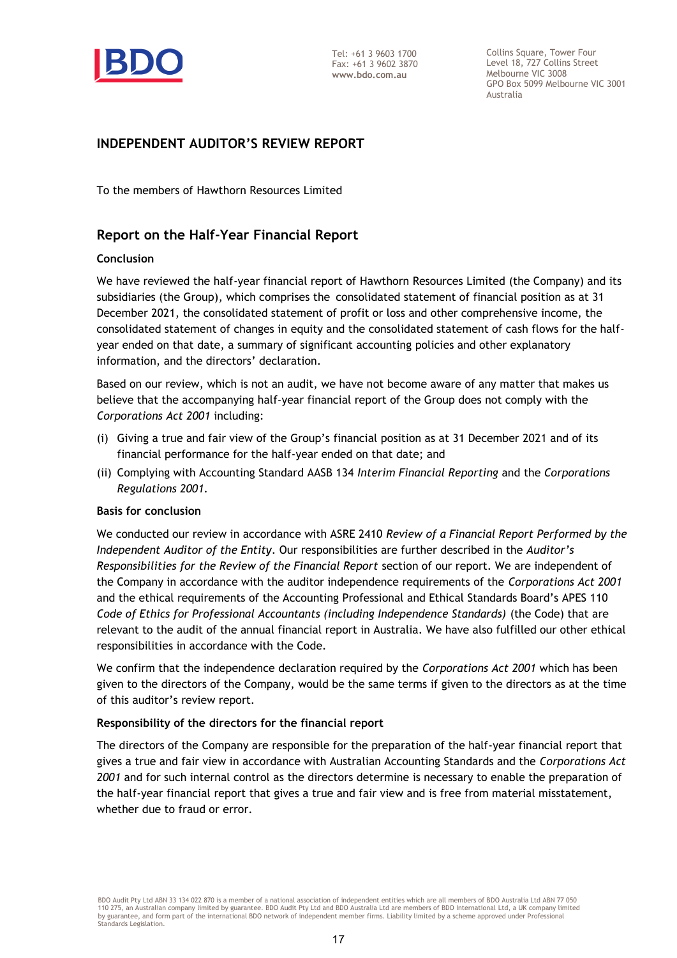

Collins Square, Tower Four Level 18, 727 Collins Street Melbourne VIC 3008 GPO Box 5099 Melbourne VIC 3001 Australia

# **INDEPENDENT AUDITOR'S REVIEW REPORT**

To the members of Hawthorn Resources Limited

# **Report on the Half-Year Financial Report**

# **Conclusion**

We have reviewed the half-year financial report of Hawthorn Resources Limited (the Company) and its subsidiaries (the Group), which comprises the consolidated statement of financial position as at 31 December 2021, the consolidated statement of profit or loss and other comprehensive income, the consolidated statement of changes in equity and the consolidated statement of cash flows for the halfyear ended on that date, a summary of significant accounting policies and other explanatory information, and the directors' declaration.

Based on our review, which is not an audit, we have not become aware of any matter that makes us believe that the accompanying half-year financial report of the Group does not comply with the *Corporations Act 2001* including:

- (i) Giving a true and fair view of the Group's financial position as at 31 December 2021 and of its financial performance for the half-year ended on that date; and
- (ii) Complying with Accounting Standard AASB 134 *Interim Financial Reporting* and the *Corporations Regulations 2001.*

## **Basis for conclusion**

We conducted our review in accordance with ASRE 2410 *Review of a Financial Report Performed by the Independent Auditor of the Entity*. Our responsibilities are further described in the *Auditor's Responsibilities for the Review of the Financial Report* section of our report. We are independent of the Company in accordance with the auditor independence requirements of the *Corporations Act 2001* and the ethical requirements of the Accounting Professional and Ethical Standards Board's APES 110 *Code of Ethics for Professional Accountants (including Independence Standards)* (the Code) that are relevant to the audit of the annual financial report in Australia. We have also fulfilled our other ethical responsibilities in accordance with the Code.

We confirm that the independence declaration required by the *Corporations Act 2001* which has been given to the directors of the Company, would be the same terms if given to the directors as at the time of this auditor's review report.

## **Responsibility of the directors for the financial report**

The directors of the Company are responsible for the preparation of the half-year financial report that gives a true and fair view in accordance with Australian Accounting Standards and the *Corporations Act 2001* and for such internal control as the directors determine is necessary to enable the preparation of the half-year financial report that gives a true and fair view and is free from material misstatement, whether due to fraud or error.

BDO Audit Pty Ltd ABN 33 134 022 870 is a member of a national association of independent entities which are all members of BDO Australia Ltd ABN 77 050 110 275, an Australian company limited by guarantee. BDO Audit Pty Ltd and BDO Australia Ltd are members of BDO International Ltd, a UK company limited by guarantee, and form part of the international BDO network of independent member firms. Liability limited by a scheme approved under Professional Standards Legislation.